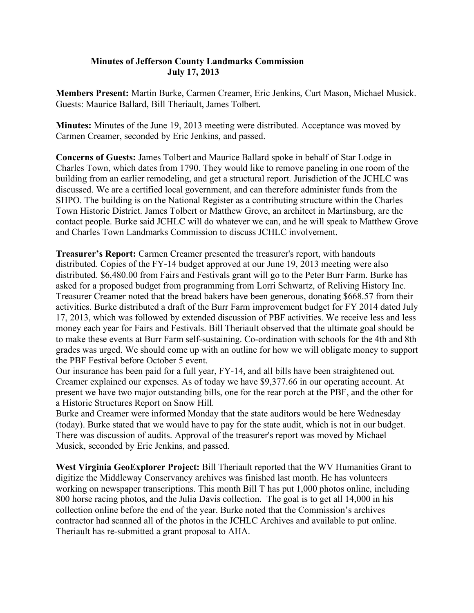## **Minutes of Jefferson County Landmarks Commission July 17, 2013**

**Members Present:** Martin Burke, Carmen Creamer, Eric Jenkins, Curt Mason, Michael Musick. Guests: Maurice Ballard, Bill Theriault, James Tolbert.

**Minutes:** Minutes of the June 19, 2013 meeting were distributed. Acceptance was moved by Carmen Creamer, seconded by Eric Jenkins, and passed.

**Concerns of Guests:** James Tolbert and Maurice Ballard spoke in behalf of Star Lodge in Charles Town, which dates from 1790. They would like to remove paneling in one room of the building from an earlier remodeling, and get a structural report. Jurisdiction of the JCHLC was discussed. We are a certified local government, and can therefore administer funds from the SHPO. The building is on the National Register as a contributing structure within the Charles Town Historic District. James Tolbert or Matthew Grove, an architect in Martinsburg, are the contact people. Burke said JCHLC will do whatever we can, and he will speak to Matthew Grove and Charles Town Landmarks Commission to discuss JCHLC involvement.

**Treasurer's Report:** Carmen Creamer presented the treasurer's report, with handouts distributed. Copies of the FY-14 budget approved at our June 19, 2013 meeting were also distributed. \$6,480.00 from Fairs and Festivals grant will go to the Peter Burr Farm. Burke has asked for a proposed budget from programming from Lorri Schwartz, of Reliving History Inc. Treasurer Creamer noted that the bread bakers have been generous, donating \$668.57 from their activities. Burke distributed a draft of the Burr Farm improvement budget for FY 2014 dated July 17, 2013, which was followed by extended discussion of PBF activities. We receive less and less money each year for Fairs and Festivals. Bill Theriault observed that the ultimate goal should be to make these events at Burr Farm self-sustaining. Co-ordination with schools for the 4th and 8th grades was urged. We should come up with an outline for how we will obligate money to support the PBF Festival before October 5 event.

Our insurance has been paid for a full year, FY-14, and all bills have been straightened out. Creamer explained our expenses. As of today we have \$9,377.66 in our operating account. At present we have two major outstanding bills, one for the rear porch at the PBF, and the other for a Historic Structures Report on Snow Hill.

Burke and Creamer were informed Monday that the state auditors would be here Wednesday (today). Burke stated that we would have to pay for the state audit, which is not in our budget. There was discussion of audits. Approval of the treasurer's report was moved by Michael Musick, seconded by Eric Jenkins, and passed.

**West Virginia GeoExplorer Project:** Bill Theriault reported that the WV Humanities Grant to digitize the Middleway Conservancy archives was finished last month. He has volunteers working on newspaper transcriptions. This month Bill T has put 1,000 photos online, including 800 horse racing photos, and the Julia Davis collection. The goal is to get all 14,000 in his collection online before the end of the year. Burke noted that the Commission's archives contractor had scanned all of the photos in the JCHLC Archives and available to put online. Theriault has re-submitted a grant proposal to AHA.